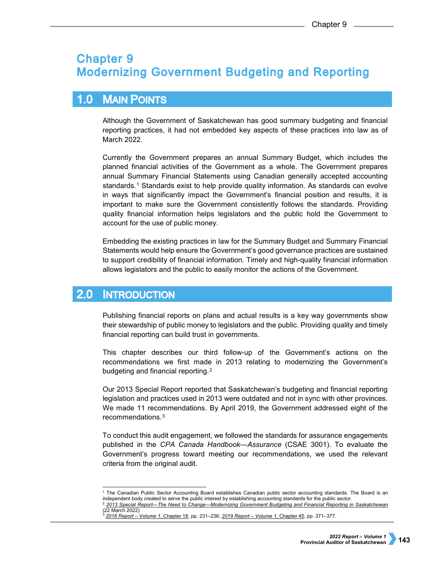# **Chapter 9 Modernizing Government Budgeting and Reporting**

## **MAIN POINTS**  $1.0$

Although the Government of Saskatchewan has good summary budgeting and financial reporting practices, it had not embedded key aspects of these practices into law as of March 2022.

Currently the Government prepares an annual Summary Budget, which includes the planned financial activities of the Government as a whole. The Government prepares annual Summary Financial Statements using Canadian generally accepted accounting standards.[1](#page-0-0) Standards exist to help provide quality information. As standards can evolve in ways that significantly impact the Government's financial position and results, it is important to make sure the Government consistently follows the standards. Providing quality financial information helps legislators and the public hold the Government to account for the use of public money.

Embedding the existing practices in law for the Summary Budget and Summary Financial Statements would help ensure the Government's good governance practices are sustained to support credibility of financial information. Timely and high-quality financial information allows legislators and the public to easily monitor the actions of the Government.

## $2.0$ **INTRODUCTION**

Publishing financial reports on plans and actual results is a key way governments show their stewardship of public money to legislators and the public. Providing quality and timely financial reporting can build trust in governments.

This chapter describes our third follow-up of the Government's actions on the recommendations we first made in 2013 relating to modernizing the Government's budgeting and financial reporting.<sup>[2](#page-0-1)</sup>

Our 2013 Special Report reported that Saskatchewan's budgeting and financial reporting legislation and practices used in 2013 were outdated and not in sync with other provinces. We made 11 recommendations. By April 2019, the Government addressed eight of the recommendations.[3](#page-0-2)

To conduct this audit engagement, we followed the standards for assurance engagements published in the *CPA Canada Handbook—Assurance* (CSAE 3001). To evaluate the Government's progress toward meeting our recommendations, we used the relevant criteria from the original audit.

<sup>-</sup><sup>1</sup> The Canadian Public Sector Accounting Board establishes Canadian public sector accounting standards. The Board is an independent body created to serve the public interest by establishing accounting standards for the public sector. <sup>2</sup> *[2013 Special Report—The Need to Change—Modernizing Government Budgeting and Financial Reporting in Saskatchewan](https://auditor.sk.ca/pub/publications/public_reports/2013/2013-Special-Report-Government-Finances-Final.pdf)*

<span id="page-0-2"></span><span id="page-0-1"></span><span id="page-0-0"></span><sup>(22</sup> March 2022).

<sup>3</sup> *[2016 Report – Volume 1](https://auditor.sk.ca/pub/publications/public_reports/2016/Volume_1/18_Modernizing%20Gov)*, Chapter 18, pp. 231–236; *[2019 Report – Volume 1](https://auditor.sk.ca/pub/publications/public_reports/2019/Volume_1/45_Modernizing%20Government%20Budgeting%20and%20Reporting.pdf)*, Chapter 45, pp. 371–377.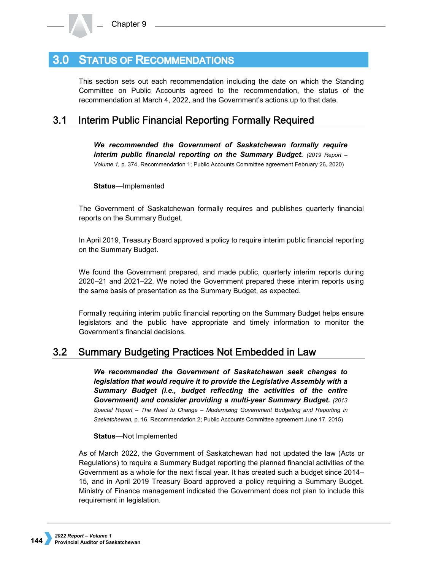## **STATUS OF RECOMMENDATIONS**  $3.0<sub>1</sub>$

This section sets out each recommendation including the date on which the Standing Committee on Public Accounts agreed to the recommendation, the status of the recommendation at March 4, 2022, and the Government's actions up to that date.

### $3.1$ **Interim Public Financial Reporting Formally Required**

*We recommended the Government of Saskatchewan formally require interim public financial reporting on the Summary Budget. (2019 Report – Volume 1,* p. 374, Recommendation 1; Public Accounts Committee agreement February 26, 2020)

**Status**—Implemented

The Government of Saskatchewan formally requires and publishes quarterly financial reports on the Summary Budget.

In April 2019, Treasury Board approved a policy to require interim public financial reporting on the Summary Budget.

We found the Government prepared, and made public, quarterly interim reports during 2020–21 and 2021–22. We noted the Government prepared these interim reports using the same basis of presentation as the Summary Budget, as expected.

Formally requiring interim public financial reporting on the Summary Budget helps ensure legislators and the public have appropriate and timely information to monitor the Government's financial decisions.

#### $3.2$ **Summary Budgeting Practices Not Embedded in Law**

*We recommended the Government of Saskatchewan seek changes to legislation that would require it to provide the Legislative Assembly with a Summary Budget (i.e., budget reflecting the activities of the entire Government) and consider providing a multi-year Summary Budget. (2013 Special Report – The Need to Change – Modernizing Government Budgeting and Reporting in Saskatchewan,* p. 16, Recommendation 2; Public Accounts Committee agreement June 17, 2015)

# **Status**—Not Implemented

As of March 2022, the Government of Saskatchewan had not updated the law (Acts or Regulations) to require a Summary Budget reporting the planned financial activities of the Government as a whole for the next fiscal year. It has created such a budget since 2014– 15, and in April 2019 Treasury Board approved a policy requiring a Summary Budget. Ministry of Finance management indicated the Government does not plan to include this requirement in legislation.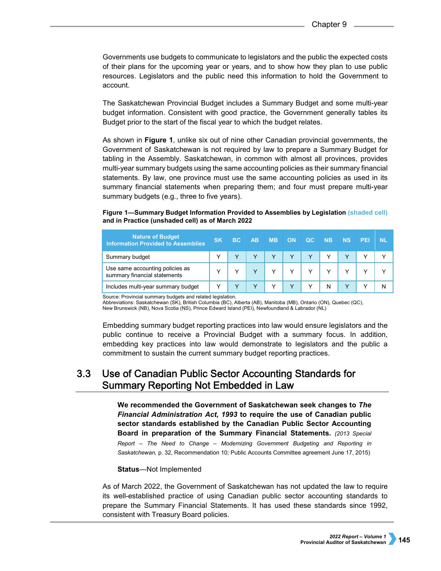Governments use budgets to communicate to legislators and the public the expected costs of their plans for the upcoming year or years, and to show how they plan to use public resources. Legislators and the public need this information to hold the Government to account.

The Saskatchewan Provincial Budget includes a Summary Budget and some multi-year budget information. Consistent with good practice, the Government generally tables its Budget prior to the start of the fiscal year to which the budget relates.

As shown in **Figure 1**, unlike six out of nine other Canadian provincial governments, the Government of Saskatchewan is not required by law to prepare a Summary Budget for tabling in the Assembly. Saskatchewan, in common with almost all provinces, provides multi-year summary budgets using the same accounting policies as their summary financial statements. By law, one province must use the same accounting policies as used in its summary financial statements when preparing them; and four must prepare multi-year summary budgets (e.g., three to five years).

# **Figure 1—Summary Budget Information Provided to Assemblies by Legislation (shaded cell) and in Practice (unshaded cell) as of March 2022**

| <b>Nature of Budget</b><br><b>Information Provided to Assemblies</b> | <b>SK</b>   | BC. | <b>AB</b> | <b>MB</b> | <b>ON</b> | <b>QC</b> | <b>NB</b> | <b>NS</b> | <b>PEI</b> | ND. |
|----------------------------------------------------------------------|-------------|-----|-----------|-----------|-----------|-----------|-----------|-----------|------------|-----|
| Summary budget                                                       |             |     |           |           |           |           |           |           |            |     |
| Use same accounting policies as<br>summary financial statements      |             |     |           |           |           |           |           |           |            |     |
| Includes multi-year summary budget                                   | $\check{ }$ |     |           |           |           |           | N         |           |            |     |

Source: Provincial summary budgets and related legislation.

Abbreviations: Saskatchewan (SK), British Columbia (BC), Alberta (AB), Manitoba (MB), Ontario (ON), Quebec (QC), New Brunswick (NB), Nova Scotia (NS), Prince Edward Island (PEI), Newfoundland & Labrador (NL)

Embedding summary budget reporting practices into law would ensure legislators and the public continue to receive a Provincial Budget with a summary focus. In addition, embedding key practices into law would demonstrate to legislators and the public a commitment to sustain the current summary budget reporting practices.

## $3.3$ Use of Canadian Public Sector Accounting Standards for **Summary Reporting Not Embedded in Law**

**We recommended the Government of Saskatchewan seek changes to** *The Financial Administration Act, 1993* **to require the use of Canadian public sector standards established by the Canadian Public Sector Accounting Board in preparation of the Summary Financial Statements***. (2013 Special Report – The Need to Change – Modernizing Government Budgeting and Reporting in Saskatchewan,* p. 32, Recommendation 10; Public Accounts Committee agreement June 17, 2015)

# **Status**—Not Implemented

As of March 2022, the Government of Saskatchewan has not updated the law to require its well-established practice of using Canadian public sector accounting standards to prepare the Summary Financial Statements. It has used these standards since 1992, consistent with Treasury Board policies.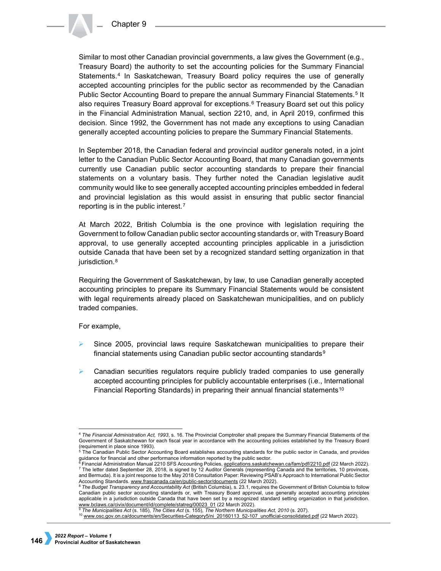Similar to most other Canadian provincial governments, a law gives the Government (e.g., Treasury Board) the authority to set the accounting policies for the Summary Financial Statements.[4](#page-3-0) In Saskatchewan, Treasury Board policy requires the use of generally accepted accounting principles for the public sector as recommended by the Canadian Public Sector Accounting Board to prepare the annual Summary Financial Statements.<sup>[5](#page-3-1)</sup> It also requires Treasury Board approval for exceptions.[6](#page-3-2) Treasury Board set out this policy in the Financial Administration Manual, section 2210, and, in April 2019, confirmed this decision. Since 1992, the Government has not made any exceptions to using Canadian generally accepted accounting policies to prepare the Summary Financial Statements.

In September 2018, the Canadian federal and provincial auditor generals noted, in a joint letter to the Canadian Public Sector Accounting Board, that many Canadian governments currently use Canadian public sector accounting standards to prepare their financial statements on a voluntary basis. They further noted the Canadian legislative audit community would like to see generally accepted accounting principles embedded in federal and provincial legislation as this would assist in ensuring that public sector financial reporting is in the public interest.[7](#page-3-3)

At March 2022, British Columbia is the one province with legislation requiring the Government to follow Canadian public sector accounting standards or, with Treasury Board approval, to use generally accepted accounting principles applicable in a jurisdiction outside Canada that have been set by a recognized standard setting organization in that jurisdiction.<sup>[8](#page-3-4)</sup>

Requiring the Government of Saskatchewan, by law, to use Canadian generally accepted accounting principles to prepare its Summary Financial Statements would be consistent with legal requirements already placed on Saskatchewan municipalities, and on publicly traded companies.

For example,

- Since 2005, provincial laws require Saskatchewan municipalities to prepare their financial statements using Canadian public sector accounting standards<sup>[9](#page-3-5)</sup>
- Canadian securities regulators require publicly traded companies to use generally accepted accounting principles for publicly accountable enterprises (i.e., International Financial Reporting Standards) in preparing their annual financial statements<sup>[10](#page-3-6)</sup>

<span id="page-3-0"></span><sup>-</sup><sup>4</sup> *The Financial Administration Act, 1993*, s. 16. The Provincial Comptroller shall prepare the Summary Financial Statements of the Government of Saskatchewan for each fiscal year in accordance with the accounting policies established by the Treasury Board

<span id="page-3-1"></span><sup>(</sup>requirement in place since 1993).<br><sup>5</sup> The Canadian Public Sector Accounting Board establishes accounting standards for the public sector in Canada, and provides guidance for financial and other performance information reported by the public sector.<br><sup>6</sup> Financial Administration Manual 2210 SFS Accounting Policies, <u>applications.saskatchewan.ca/fam/pdf/2210.pdf</u> (22 March 2022).

<span id="page-3-3"></span><span id="page-3-2"></span><sup>7</sup> The letter dated September 28, 2018, is signed by 12 Auditor Generals (representing Canada and the territories, 10 provinces, and Bermuda). It is a joint response to the May 2018 Consultation Paper: Reviewing PSAB's Approach to International Public Sector Accounting Standards. [www.frascanada.ca/en/public-sector/documents \(](http://www.frascanada.ca/en/public-sector/documents)22 March 2022).

<span id="page-3-4"></span><sup>8</sup> *The Budget Transparency and Accountability Act* (British Columbia), s. 23.1, requires the Government of British Columbia to follow Canadian public sector accounting standards or, with Treasury Board approval, use generally accepted accounting principles applicable in a jurisdiction outside Canada that have been set by a recognized standard setting organization in that jurisdiction. [www.bclaws.ca/civix/document/id/complete/statreg/00023\\_01](http://www.bclaws.ca/civix/document/id/complete/statreg/00023_01) (22 March 2022).

<span id="page-3-6"></span><span id="page-3-5"></span><sup>9</sup> *The Municipalities Act* (s. 185), *The Cities Act* (s. 155), *The Northern Municipalities Act, 2010* (s. 207).

<sup>&</sup>lt;sup>10</sup> [www.osc.gov.on.ca/documents/en/Securities-Category5/ni\\_20160113\\_52-107\\_unofficial-consolidated.pdf](http://www.osc.gov.on.ca/documents/en/Securities-Category5/ni_20160113_52-107_unofficial-consolidated.pdf) (22 March 2022).